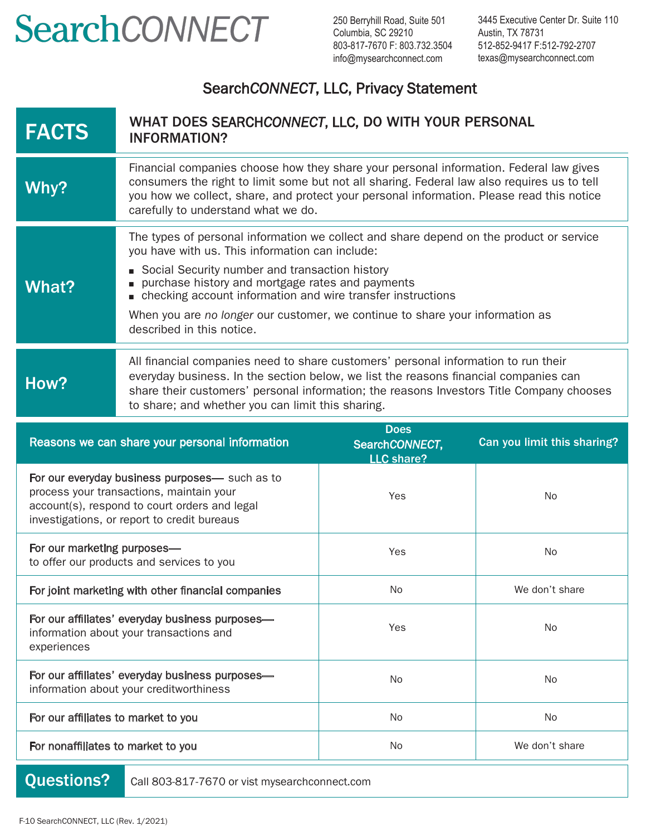## SearchCONNECT

250 Berryhill Road, Suite 501 Columbia, SC 29210 803-817-7670 F: 803.732.3504 info@mysearchconnect.com

3445 Executive Center Dr. Suite 110 Austin, TX 78731 512-852-9417 F:512-792-2707 texas@mysearchconnect.com

## Search*CONNECT*, LLC, Privacy Statement

| <b>FACTS</b>                                   | WHAT DOES SEARCHCONNECT, LLC, DO WITH YOUR PERSONAL<br><b>INFORMATION?</b>                                                                                                                                                                                                                                                                                                                                                    |                                                    |                             |
|------------------------------------------------|-------------------------------------------------------------------------------------------------------------------------------------------------------------------------------------------------------------------------------------------------------------------------------------------------------------------------------------------------------------------------------------------------------------------------------|----------------------------------------------------|-----------------------------|
| Why?                                           | Financial companies choose how they share your personal information. Federal law gives<br>consumers the right to limit some but not all sharing. Federal law also requires us to tell<br>you how we collect, share, and protect your personal information. Please read this notice<br>carefully to understand what we do.                                                                                                     |                                                    |                             |
| <b>What?</b>                                   | The types of personal information we collect and share depend on the product or service<br>you have with us. This information can include:<br>Social Security number and transaction history<br>purchase history and mortgage rates and payments<br>checking account information and wire transfer instructions<br>When you are no longer our customer, we continue to share your information as<br>described in this notice. |                                                    |                             |
| How?                                           | All financial companies need to share customers' personal information to run their<br>everyday business. In the section below, we list the reasons financial companies can<br>share their customers' personal information; the reasons Investors Title Company chooses<br>to share; and whether you can limit this sharing.                                                                                                   |                                                    |                             |
| Reasons we can share your personal information |                                                                                                                                                                                                                                                                                                                                                                                                                               |                                                    |                             |
|                                                |                                                                                                                                                                                                                                                                                                                                                                                                                               | <b>Does</b><br>SearchCONNECT,<br><b>LLC share?</b> | Can you limit this sharing? |
|                                                | For our everyday business purposes— such as to<br>process your transactions, maintain your<br>account(s), respond to court orders and legal<br>investigations, or report to credit bureaus                                                                                                                                                                                                                                    | Yes                                                | No                          |
| For our marketing purposes-                    | to offer our products and services to you                                                                                                                                                                                                                                                                                                                                                                                     | Yes                                                | No                          |
|                                                | For joint marketing with other financial companies                                                                                                                                                                                                                                                                                                                                                                            | No                                                 | We don't share              |
| experiences                                    | For our affiliates' everyday business purposes-<br>information about your transactions and                                                                                                                                                                                                                                                                                                                                    | Yes                                                | No                          |
|                                                | For our affiliates' everyday business purposes-<br>information about your creditworthiness                                                                                                                                                                                                                                                                                                                                    | No                                                 | No                          |
| For our affiliates to market to you            |                                                                                                                                                                                                                                                                                                                                                                                                                               | No                                                 | No                          |

Questions? Call 803-817-7670 or vist mysearchconnect.com